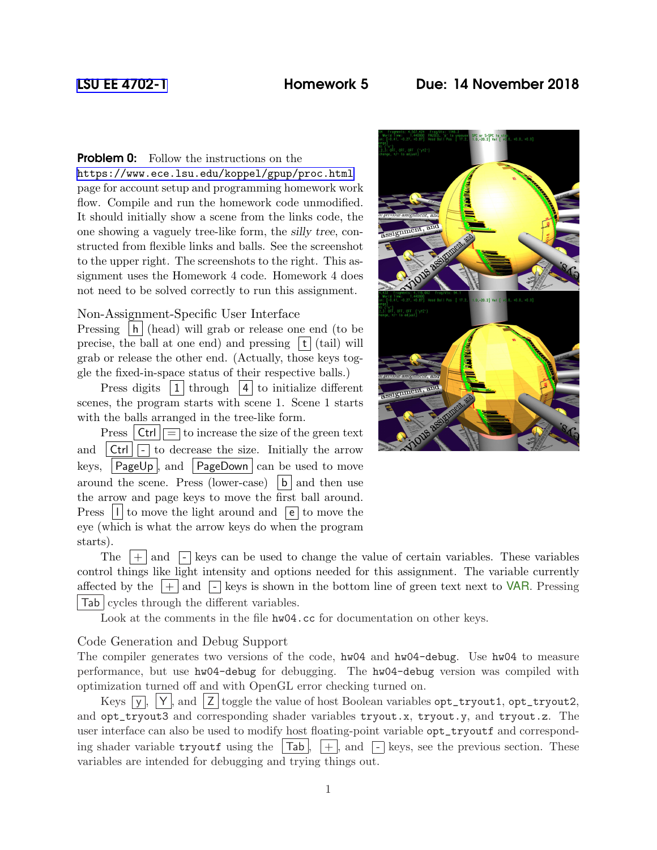# [LSU EE 4702-1](https://www.ece.lsu.edu/koppel/gpup/) Homework 5 Due: 14 November 2018

**Problem 0:** Follow the instructions on the

<https://www.ece.lsu.edu/koppel/gpup/proc.html> page for account setup and programming homework work flow. Compile and run the homework code unmodified. It should initially show a scene from the links code, the one showing a vaguely tree-like form, the silly tree, constructed from flexible links and balls. See the screenshot to the upper right. The screenshots to the right. This assignment uses the Homework 4 code. Homework 4 does not need to be solved correctly to run this assignment.

## Non-Assignment-Specific User Interface

Pressing |h| (head) will grab or release one end (to be precise, the ball at one end) and pressing  $|\mathbf{t}|$  (tail) will grab or release the other end. (Actually, those keys toggle the fixed-in-space status of their respective balls.)

Press digits  $|1|$  through  $|4|$  to initialize different scenes, the program starts with scene 1. Scene 1 starts with the balls arranged in the tree-like form.

Press  $|\text{Ctrl}| = \text{to increase the size of the green text}$ and  $|\text{Ctrl}|\square$  to decrease the size. Initially the arrow keys,  $\vert$  PageUp  $\vert$ , and  $\vert$  PageDown  $\vert$  can be used to move around the scene. Press (lower-case)  $|b|$  and then use the arrow and page keys to move the first ball around. Press  $|1|$  to move the light around and  $\boxed{e}$  to move the eye (which is what the arrow keys do when the program starts).



The  $|+|$  and  $|$ - $|$  keys can be used to change the value of certain variables. These variables control things like light intensity and options needed for this assignment. The variable currently affected by the  $|+|$  and  $|-\rangle$  keys is shown in the bottom line of green text next to VAR. Pressing Tab cycles through the different variables.

Look at the comments in the file  $hw04$ .cc for documentation on other keys.

#### Code Generation and Debug Support

The compiler generates two versions of the code, hw04 and hw04-debug. Use hw04 to measure performance, but use hw04-debug for debugging. The hw04-debug version was compiled with optimization turned off and with OpenGL error checking turned on.

Keys  $\overline{y}$ ,  $\overline{y}$ ,  $\overline{y}$ , and  $\overline{z}$  toggle the value of host Boolean variables opt\_tryout1, opt\_tryout2, and opt\_tryout3 and corresponding shader variables tryout.x, tryout.y, and tryout.z. The user interface can also be used to modify host floating-point variable opt\_tryoutf and corresponding shader variable tryoutf using the  $|Tab|, |+|$ , and  $|^-|$  keys, see the previous section. These variables are intended for debugging and trying things out.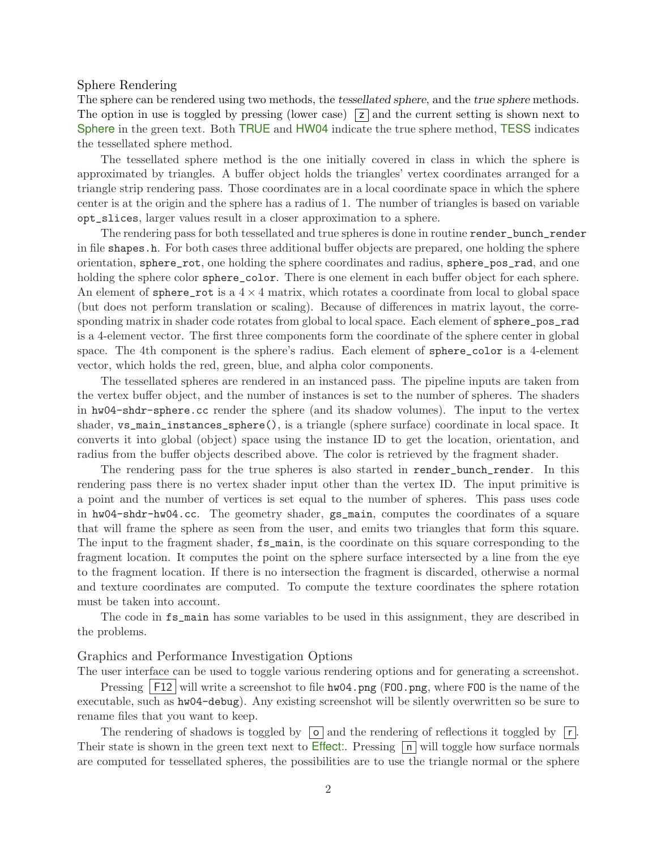### Sphere Rendering

The sphere can be rendered using two methods, the tessellated sphere, and the true sphere methods. The option in use is toggled by pressing (lower case)  $|z|$  and the current setting is shown next to Sphere in the green text. Both TRUE and HW04 indicate the true sphere method, TESS indicates the tessellated sphere method.

The tessellated sphere method is the one initially covered in class in which the sphere is approximated by triangles. A buffer object holds the triangles' vertex coordinates arranged for a triangle strip rendering pass. Those coordinates are in a local coordinate space in which the sphere center is at the origin and the sphere has a radius of 1. The number of triangles is based on variable opt\_slices, larger values result in a closer approximation to a sphere.

The rendering pass for both tessellated and true spheres is done in routine render\_bunch\_render in file shapes.h. For both cases three additional buffer objects are prepared, one holding the sphere orientation, sphere\_rot, one holding the sphere coordinates and radius, sphere\_pos\_rad, and one holding the sphere color sphere\_color. There is one element in each buffer object for each sphere. An element of sphere\_rot is a  $4 \times 4$  matrix, which rotates a coordinate from local to global space (but does not perform translation or scaling). Because of differences in matrix layout, the corresponding matrix in shader code rotates from global to local space. Each element of sphere\_pos\_rad is a 4-element vector. The first three components form the coordinate of the sphere center in global space. The 4th component is the sphere's radius. Each element of sphere\_color is a 4-element vector, which holds the red, green, blue, and alpha color components.

The tessellated spheres are rendered in an instanced pass. The pipeline inputs are taken from the vertex buffer object, and the number of instances is set to the number of spheres. The shaders in hw04-shdr-sphere.cc render the sphere (and its shadow volumes). The input to the vertex shader, vs\_main\_instances\_sphere(), is a triangle (sphere surface) coordinate in local space. It converts it into global (object) space using the instance ID to get the location, orientation, and radius from the buffer objects described above. The color is retrieved by the fragment shader.

The rendering pass for the true spheres is also started in render bunch render. In this rendering pass there is no vertex shader input other than the vertex ID. The input primitive is a point and the number of vertices is set equal to the number of spheres. This pass uses code in hw04-shdr-hw04.cc. The geometry shader, gs\_main, computes the coordinates of a square that will frame the sphere as seen from the user, and emits two triangles that form this square. The input to the fragment shader,  $fs\_main$ , is the coordinate on this square corresponding to the fragment location. It computes the point on the sphere surface intersected by a line from the eye to the fragment location. If there is no intersection the fragment is discarded, otherwise a normal and texture coordinates are computed. To compute the texture coordinates the sphere rotation must be taken into account.

The code in fs\_main has some variables to be used in this assignment, they are described in the problems.

#### Graphics and Performance Investigation Options

The user interface can be used to toggle various rendering options and for generating a screenshot. Pressing  $|F12|$  will write a screenshot to file hw04.png (F00.png, where F00 is the name of the executable, such as hw04-debug). Any existing screenshot will be silently overwritten so be sure to rename files that you want to keep.

The rendering of shadows is toggled by  $\boxed{\circ}$  and the rendering of reflections it toggled by  $\boxed{r}$ . Their state is shown in the green text next to Effect:. Pressing  $\boxed{\mathsf{n}}$  will toggle how surface normals are computed for tessellated spheres, the possibilities are to use the triangle normal or the sphere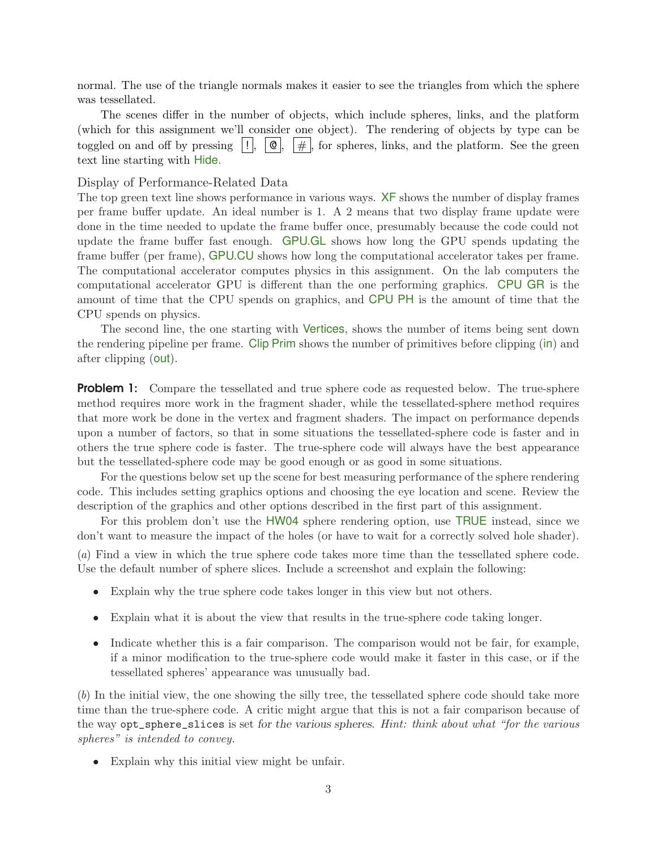normal. The use of the triangle normals makes it easier to see the triangles from which the sphere was tessellated.

The scenes differ in the number of objects, which include spheres, links, and the platform (which for this assignment we'll consider one object). The rendering of objects by type can be toggled on and off by pressing  $|| \cdot || \cdot || \cdot || \cdot ||$ , for spheres, links, and the platform. See the green text line starting with Hide.

### Display of Performance-Related Data

The top green text line shows performance in various ways. XF shows the number of display frames per frame buffer update. An ideal number is 1. A 2 means that two display frame update were done in the time needed to update the frame buffer once, presumably because the code could not update the frame buffer fast enough. GPU.GL shows how long the GPU spends updating the frame buffer (per frame), GPU.CU shows how long the computational accelerator takes per frame. The computational accelerator computes physics in this assignment. On the lab computers the computational accelerator GPU is different than the one performing graphics. CPU GR is the amount of time that the CPU spends on graphics, and CPU PH is the amount of time that the CPU spends on physics.

The second line, the one starting with Vertices, shows the number of items being sent down the rendering pipeline per frame. Clip Prim shows the number of primitives before clipping (in) and after clipping (out).

**Problem 1:** Compare the tessellated and true sphere code as requested below. The true-sphere method requires more work in the fragment shader, while the tessellated-sphere method requires that more work be done in the vertex and fragment shaders. The impact on performance depends upon a number of factors, so that in some situations the tessellated-sphere code is faster and in others the true sphere code is faster. The true-sphere code will always have the best appearance but the tessellated-sphere code may be good enough or as good in some situations.

For the questions below set up the scene for best measuring performance of the sphere rendering code. This includes setting graphics options and choosing the eye location and scene. Review the description of the graphics and other options described in the first part of this assignment.

For this problem don't use the HW04 sphere rendering option, use TRUE instead, since we don't want to measure the impact of the holes (or have to wait for a correctly solved hole shader).

(a) Find a view in which the true sphere code takes more time than the tessellated sphere code. Use the default number of sphere slices. Include a screenshot and explain the following:

- Explain why the true sphere code takes longer in this view but not others.
- Explain what it is about the view that results in the true-sphere code taking longer.
- Indicate whether this is a fair comparison. The comparison would not be fair, for example, if a minor modification to the true-sphere code would make it faster in this case, or if the tessellated spheres' appearance was unusually bad.

(b) In the initial view, the one showing the silly tree, the tessellated sphere code should take more time than the true-sphere code. A critic might argue that this is not a fair comparison because of the way opt\_sphere\_slices is set for the various spheres. Hint: think about what "for the various spheres" is intended to convey.

• Explain why this initial view might be unfair.